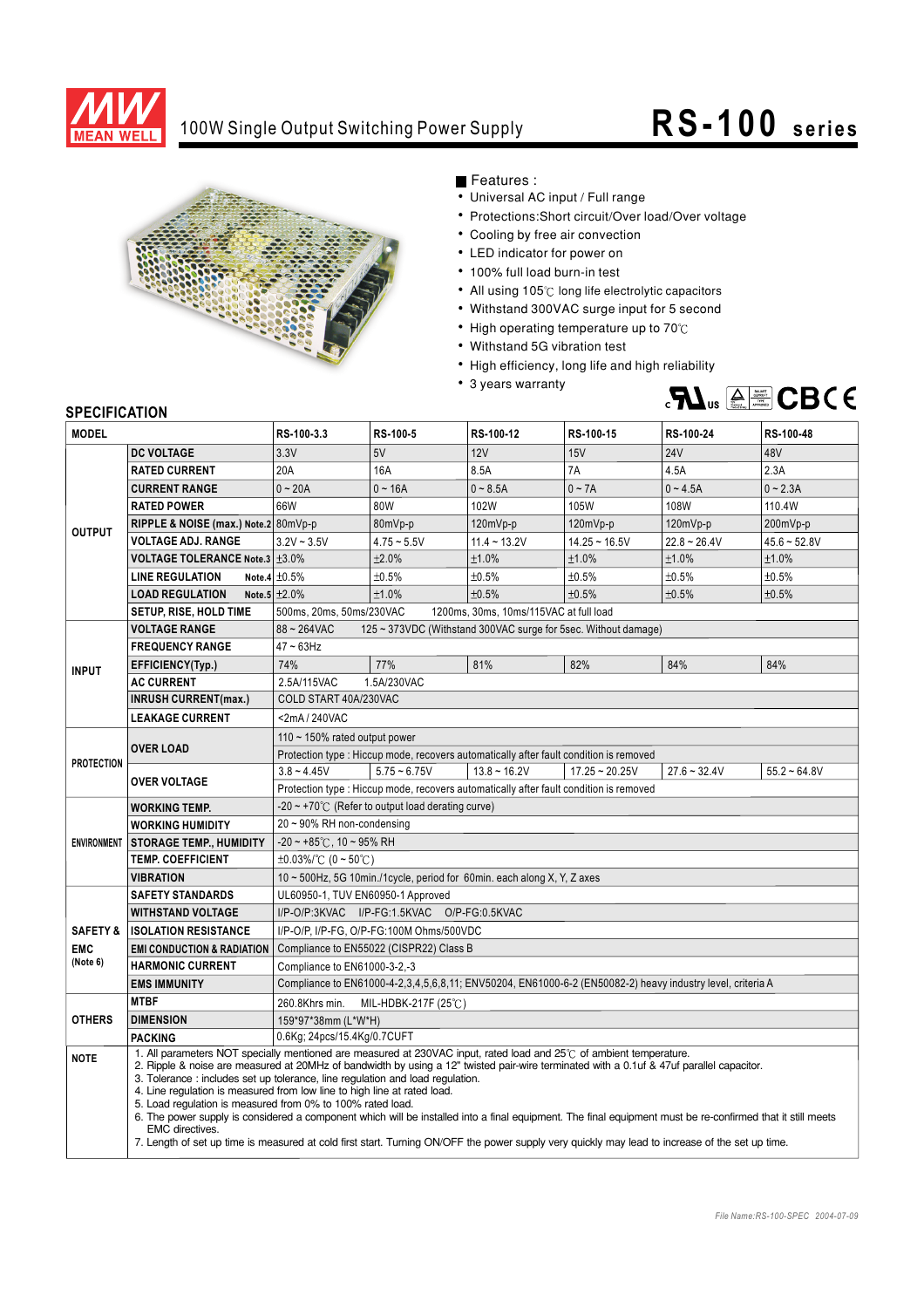

## 100W Single Output Switching Power Supply **RS -100** series



Features :

- Universal AC input / Full range
- Protections: Short circuit/Over load/Over voltage
- Cooling by free air convection
- LED indicator for power on
- 100% full load burn-in test
- All using 105°C long life electrolytic capacitors
- Withstand 300VAC surge input for 5 second
- High operating temperature up to  $70^{\circ}$ C
- Withstand 5G vibration test
- High efficiency, long life and high reliability
- 3 years warranty



## **SPECIFICATION**

| יוטו ווער וועם<br><b>MODEL</b> |                                                                                                                                                                                                                                                                                                                                                                                                                                                                                                                                                                                                                                                                                                                                                                                                                                       | RS-100-3.3                                                                             | RS-100-5                       | RS-100-12                              | RS-100-15        | RS-100-24                                                                                                  | RS-100-48      |
|--------------------------------|---------------------------------------------------------------------------------------------------------------------------------------------------------------------------------------------------------------------------------------------------------------------------------------------------------------------------------------------------------------------------------------------------------------------------------------------------------------------------------------------------------------------------------------------------------------------------------------------------------------------------------------------------------------------------------------------------------------------------------------------------------------------------------------------------------------------------------------|----------------------------------------------------------------------------------------|--------------------------------|----------------------------------------|------------------|------------------------------------------------------------------------------------------------------------|----------------|
|                                | <b>DC VOLTAGE</b>                                                                                                                                                                                                                                                                                                                                                                                                                                                                                                                                                                                                                                                                                                                                                                                                                     | 3.3V                                                                                   | 5V                             | 12V                                    | 15V              | <b>24V</b>                                                                                                 | 48V            |
| <b>OUTPUT</b>                  | <b>RATED CURRENT</b>                                                                                                                                                                                                                                                                                                                                                                                                                                                                                                                                                                                                                                                                                                                                                                                                                  | 20A                                                                                    | 16A                            | 8.5A                                   | 7A               | 4.5A                                                                                                       | 2.3A           |
|                                | <b>CURRENT RANGE</b>                                                                                                                                                                                                                                                                                                                                                                                                                                                                                                                                                                                                                                                                                                                                                                                                                  | $0 - 20A$                                                                              | $0 - 16A$                      | $0 - 8.5A$                             | $0 - 7A$         | $0 - 4.5A$                                                                                                 | $0 - 2.3A$     |
|                                | <b>RATED POWER</b>                                                                                                                                                                                                                                                                                                                                                                                                                                                                                                                                                                                                                                                                                                                                                                                                                    | 66W                                                                                    | 80W                            | 102W                                   | 105W             | 108W                                                                                                       | 110.4W         |
|                                | RIPPLE & NOISE (max.) Note.2 80mVp-p                                                                                                                                                                                                                                                                                                                                                                                                                                                                                                                                                                                                                                                                                                                                                                                                  |                                                                                        | 80mVp-p                        | 120mVp-p                               | 120mVp-p         | $120mVp-p$                                                                                                 | 200mVp-p       |
|                                | <b>VOLTAGE ADJ. RANGE</b>                                                                                                                                                                                                                                                                                                                                                                                                                                                                                                                                                                                                                                                                                                                                                                                                             | $3.2V - 3.5V$                                                                          | $4.75 - 5.5V$                  | $11.4 - 13.2V$                         | $14.25 - 16.5V$  | $22.8 - 26.4V$                                                                                             | $45.6 - 52.8V$ |
|                                | <b>VOLTAGE TOLERANCE Note.3 ±3.0%</b>                                                                                                                                                                                                                                                                                                                                                                                                                                                                                                                                                                                                                                                                                                                                                                                                 |                                                                                        | ±2.0%                          | ±1.0%                                  | ±1.0%            | ±1.0%                                                                                                      | ±1.0%          |
|                                | <b>LINE REGULATION</b>                                                                                                                                                                                                                                                                                                                                                                                                                                                                                                                                                                                                                                                                                                                                                                                                                | Note.4 $\pm 0.5\%$                                                                     | ±0.5%                          | ±0.5%                                  | ±0.5%            | ±0.5%                                                                                                      | ±0.5%          |
|                                | <b>LOAD REGULATION</b>                                                                                                                                                                                                                                                                                                                                                                                                                                                                                                                                                                                                                                                                                                                                                                                                                | Note.5 $\pm 2.0\%$                                                                     | ±1.0%                          | ±0.5%                                  | ±0.5%            | ±0.5%                                                                                                      | ±0.5%          |
|                                | SETUP, RISE, HOLD TIME                                                                                                                                                                                                                                                                                                                                                                                                                                                                                                                                                                                                                                                                                                                                                                                                                | 500ms, 20ms, 50ms/230VAC                                                               |                                | 1200ms, 30ms, 10ms/115VAC at full load |                  |                                                                                                            |                |
|                                | <b>VOLTAGE RANGE</b>                                                                                                                                                                                                                                                                                                                                                                                                                                                                                                                                                                                                                                                                                                                                                                                                                  | $88 - 264$ VAC<br>125 ~ 373VDC (Withstand 300VAC surge for 5sec. Without damage)       |                                |                                        |                  |                                                                                                            |                |
| <b>INPUT</b>                   | <b>FREQUENCY RANGE</b>                                                                                                                                                                                                                                                                                                                                                                                                                                                                                                                                                                                                                                                                                                                                                                                                                | $47 \sim 63$ Hz                                                                        |                                |                                        |                  |                                                                                                            |                |
|                                | EFFICIENCY(Typ.)                                                                                                                                                                                                                                                                                                                                                                                                                                                                                                                                                                                                                                                                                                                                                                                                                      | 74%                                                                                    | 77%                            | 81%                                    | 82%              | 84%                                                                                                        | 84%            |
|                                | <b>AC CURRENT</b>                                                                                                                                                                                                                                                                                                                                                                                                                                                                                                                                                                                                                                                                                                                                                                                                                     | 2.5A/115VAC<br>1.5A/230VAC                                                             |                                |                                        |                  |                                                                                                            |                |
|                                | <b>INRUSH CURRENT(max.)</b>                                                                                                                                                                                                                                                                                                                                                                                                                                                                                                                                                                                                                                                                                                                                                                                                           | COLD START 40A/230VAC                                                                  |                                |                                        |                  |                                                                                                            |                |
|                                | <b>LEAKAGE CURRENT</b>                                                                                                                                                                                                                                                                                                                                                                                                                                                                                                                                                                                                                                                                                                                                                                                                                | <2mA/240VAC                                                                            |                                |                                        |                  |                                                                                                            |                |
| <b>PROTECTION</b>              | <b>OVER LOAD</b>                                                                                                                                                                                                                                                                                                                                                                                                                                                                                                                                                                                                                                                                                                                                                                                                                      | 110 $\sim$ 150% rated output power                                                     |                                |                                        |                  |                                                                                                            |                |
|                                |                                                                                                                                                                                                                                                                                                                                                                                                                                                                                                                                                                                                                                                                                                                                                                                                                                       | Protection type : Hiccup mode, recovers automatically after fault condition is removed |                                |                                        |                  |                                                                                                            |                |
|                                | <b>OVER VOLTAGE</b>                                                                                                                                                                                                                                                                                                                                                                                                                                                                                                                                                                                                                                                                                                                                                                                                                   | $3.8 - 4.45V$                                                                          | $5.75 - 6.75V$                 | $13.8 - 16.2V$                         | $17.25 - 20.25V$ | $27.6 - 32.4V$                                                                                             | $55.2 - 64.8V$ |
|                                |                                                                                                                                                                                                                                                                                                                                                                                                                                                                                                                                                                                                                                                                                                                                                                                                                                       | Protection type : Hiccup mode, recovers automatically after fault condition is removed |                                |                                        |                  |                                                                                                            |                |
|                                | <b>WORKING TEMP.</b>                                                                                                                                                                                                                                                                                                                                                                                                                                                                                                                                                                                                                                                                                                                                                                                                                  | $-20 \sim +70^{\circ}$ (Refer to output load derating curve)                           |                                |                                        |                  |                                                                                                            |                |
|                                | <b>WORKING HUMIDITY</b>                                                                                                                                                                                                                                                                                                                                                                                                                                                                                                                                                                                                                                                                                                                                                                                                               | 20~90% RH non-condensing                                                               |                                |                                        |                  |                                                                                                            |                |
|                                | ENVIRONMENT STORAGE TEMP., HUMIDITY                                                                                                                                                                                                                                                                                                                                                                                                                                                                                                                                                                                                                                                                                                                                                                                                   | $-20 \sim +85^{\circ}$ C, 10 ~ 95% RH                                                  |                                |                                        |                  |                                                                                                            |                |
|                                | <b>TEMP. COEFFICIENT</b>                                                                                                                                                                                                                                                                                                                                                                                                                                                                                                                                                                                                                                                                                                                                                                                                              | $\pm 0.03\%$ (0 ~ 50°C)                                                                |                                |                                        |                  |                                                                                                            |                |
|                                | VIBRATION                                                                                                                                                                                                                                                                                                                                                                                                                                                                                                                                                                                                                                                                                                                                                                                                                             | 10 ~ 500Hz, 5G 10min./1cycle, period for 60min. each along X, Y, Z axes                |                                |                                        |                  |                                                                                                            |                |
|                                | <b>SAFETY STANDARDS</b>                                                                                                                                                                                                                                                                                                                                                                                                                                                                                                                                                                                                                                                                                                                                                                                                               | UL60950-1, TUV EN60950-1 Approved                                                      |                                |                                        |                  |                                                                                                            |                |
|                                | <b>WITHSTAND VOLTAGE</b>                                                                                                                                                                                                                                                                                                                                                                                                                                                                                                                                                                                                                                                                                                                                                                                                              | I/P-O/P:3KVAC I/P-FG:1.5KVAC O/P-FG:0.5KVAC                                            |                                |                                        |                  |                                                                                                            |                |
| <b>SAFETY &amp;</b>            | <b>ISOLATION RESISTANCE</b>                                                                                                                                                                                                                                                                                                                                                                                                                                                                                                                                                                                                                                                                                                                                                                                                           | I/P-O/P, I/P-FG, O/P-FG:100M Ohms/500VDC                                               |                                |                                        |                  |                                                                                                            |                |
| <b>EMC</b>                     | <b>EMI CONDUCTION &amp; RADIATION</b>                                                                                                                                                                                                                                                                                                                                                                                                                                                                                                                                                                                                                                                                                                                                                                                                 | Compliance to EN55022 (CISPR22) Class B                                                |                                |                                        |                  |                                                                                                            |                |
| (Note 6)                       | <b>HARMONIC CURRENT</b>                                                                                                                                                                                                                                                                                                                                                                                                                                                                                                                                                                                                                                                                                                                                                                                                               | Compliance to EN61000-3-2,-3                                                           |                                |                                        |                  |                                                                                                            |                |
|                                | <b>EMS IMMUNITY</b>                                                                                                                                                                                                                                                                                                                                                                                                                                                                                                                                                                                                                                                                                                                                                                                                                   |                                                                                        |                                |                                        |                  | Compliance to EN61000-4-2,3,4,5,6,8,11; ENV50204, EN61000-6-2 (EN50082-2) heavy industry level, criteria A |                |
| <b>OTHERS</b>                  | <b>MTBF</b>                                                                                                                                                                                                                                                                                                                                                                                                                                                                                                                                                                                                                                                                                                                                                                                                                           | 260.8Khrs min.                                                                         | MIL-HDBK-217F $(25^{\circ}$ C) |                                        |                  |                                                                                                            |                |
|                                | <b>DIMENSION</b>                                                                                                                                                                                                                                                                                                                                                                                                                                                                                                                                                                                                                                                                                                                                                                                                                      | 159*97*38mm (L*W*H)                                                                    |                                |                                        |                  |                                                                                                            |                |
|                                | <b>PACKING</b>                                                                                                                                                                                                                                                                                                                                                                                                                                                                                                                                                                                                                                                                                                                                                                                                                        | 0.6Kg; 24pcs/15.4Kg/0.7CUFT                                                            |                                |                                        |                  |                                                                                                            |                |
| <b>NOTE</b>                    | 1. All parameters NOT specially mentioned are measured at 230VAC input, rated load and 25°C of ambient temperature.<br>2. Ripple & noise are measured at 20MHz of bandwidth by using a 12" twisted pair-wire terminated with a 0.1uf & 47uf parallel capacitor.<br>3. Tolerance: includes set up tolerance, line regulation and load regulation.<br>4. Line regulation is measured from low line to high line at rated load.<br>5. Load regulation is measured from 0% to 100% rated load.<br>6. The power supply is considered a component which will be installed into a final equipment. The final equipment must be re-confirmed that it still meets<br><b>EMC</b> directives.<br>7. Length of set up time is measured at cold first start. Turning ON/OFF the power supply very quickly may lead to increase of the set up time. |                                                                                        |                                |                                        |                  |                                                                                                            |                |
|                                |                                                                                                                                                                                                                                                                                                                                                                                                                                                                                                                                                                                                                                                                                                                                                                                                                                       |                                                                                        |                                |                                        |                  |                                                                                                            |                |